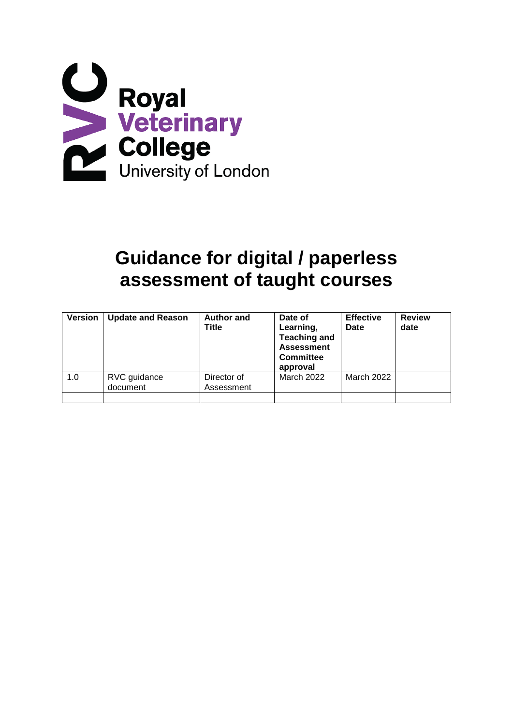

# **Guidance for digital / paperless assessment of taught courses**

| <b>Version</b> | <b>Update and Reason</b> | <b>Author and</b><br><b>Title</b> | Date of<br>Learning,<br><b>Teaching and</b><br><b>Assessment</b><br><b>Committee</b><br>approval | <b>Effective</b><br>Date | <b>Review</b><br>date |
|----------------|--------------------------|-----------------------------------|--------------------------------------------------------------------------------------------------|--------------------------|-----------------------|
| 1.0            | RVC guidance<br>document | Director of<br>Assessment         | March 2022                                                                                       | March 2022               |                       |
|                |                          |                                   |                                                                                                  |                          |                       |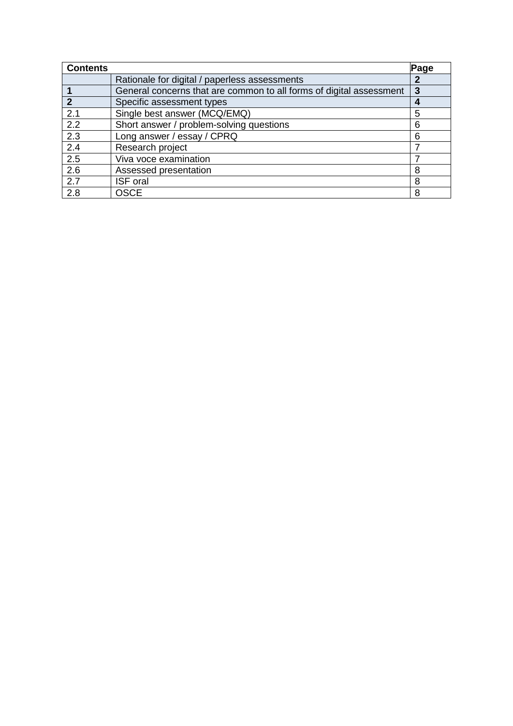| <b>Contents</b> |                                                                     | Page |
|-----------------|---------------------------------------------------------------------|------|
|                 | Rationale for digital / paperless assessments                       | 2    |
|                 | General concerns that are common to all forms of digital assessment | 3    |
| $\mathbf{2}$    | Specific assessment types                                           | 4    |
| 2.1             | Single best answer (MCQ/EMQ)                                        | 5    |
| 2.2             | Short answer / problem-solving questions                            | 6    |
| 2.3             | Long answer / essay / CPRQ                                          | 6    |
| 2.4             | Research project                                                    |      |
| 2.5             | Viva voce examination                                               | 7    |
| 2.6             | Assessed presentation                                               | 8    |
| 2.7             | <b>ISF</b> oral                                                     | 8    |
| 2.8             | <b>OSCE</b>                                                         | 8    |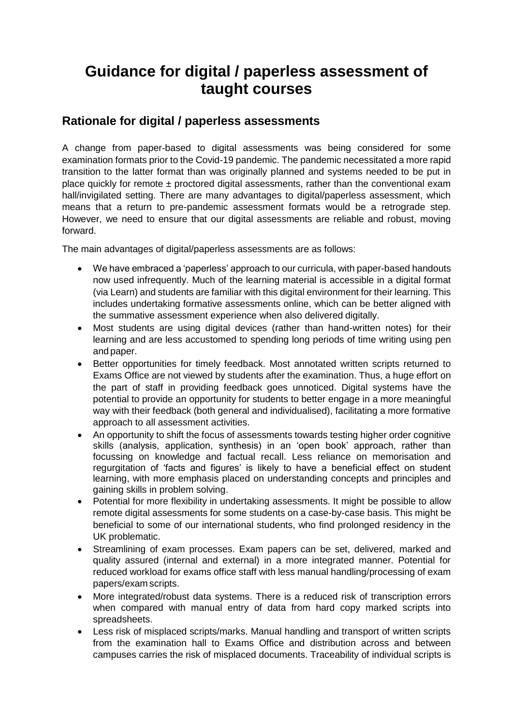## **Guidance for digital / paperless assessment of taught courses**

## **Rationale for digital / paperless assessments**

A change from paper-based to digital assessments was being considered for some examination formats prior to the Covid-19 pandemic. The pandemic necessitated a more rapid transition to the latter format than was originally planned and systems needed to be put in place quickly for remote  $\pm$  proctored digital assessments, rather than the conventional exam hall/invigilated setting. There are many advantages to digital/paperless assessment, which means that a return to pre-pandemic assessment formats would be a retrograde step. However, we need to ensure that our digital assessments are reliable and robust, moving forward.

The main advantages of digital/paperless assessments are as follows:

- We have embraced a 'paperless' approach to our curricula, with paper-based handouts now used infrequently. Much of the learning material is accessible in a digital format (via Learn) and students are familiar with this digital environment for their learning. This includes undertaking formative assessments online, which can be better aligned with the summative assessment experience when also delivered digitally.
- Most students are using digital devices (rather than hand-written notes) for their learning and are less accustomed to spending long periods of time writing using pen and paper.
- Better opportunities for timely feedback. Most annotated written scripts returned to Exams Office are not viewed by students after the examination. Thus, a huge effort on the part of staff in providing feedback goes unnoticed. Digital systems have the potential to provide an opportunity for students to better engage in a more meaningful way with their feedback (both general and individualised), facilitating a more formative approach to all assessment activities.
- An opportunity to shift the focus of assessments towards testing higher order cognitive skills (analysis, application, synthesis) in an 'open book' approach, rather than focussing on knowledge and factual recall. Less reliance on memorisation and regurgitation of 'facts and figures' is likely to have a beneficial effect on student learning, with more emphasis placed on understanding concepts and principles and gaining skills in problem solving.
- Potential for more flexibility in undertaking assessments. It might be possible to allow remote digital assessments for some students on a case-by-case basis. This might be beneficial to some of our international students, who find prolonged residency in the UK problematic.
- Streamlining of exam processes. Exam papers can be set, delivered, marked and quality assured (internal and external) in a more integrated manner. Potential for reduced workload for exams office staff with less manual handling/processing of exam papers/exam scripts.
- More integrated/robust data systems. There is a reduced risk of transcription errors when compared with manual entry of data from hard copy marked scripts into spreadsheets.
- Less risk of misplaced scripts/marks. Manual handling and transport of written scripts from the examination hall to Exams Office and distribution across and between campuses carries the risk of misplaced documents. Traceability of individual scripts is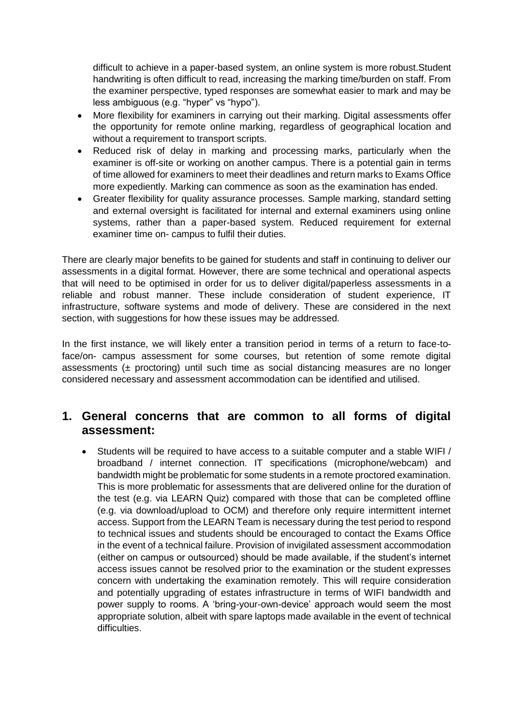difficult to achieve in a paper-based system, an online system is more robust.Student handwriting is often difficult to read, increasing the marking time/burden on staff. From the examiner perspective, typed responses are somewhat easier to mark and may be less ambiguous (e.g. "hyper" vs "hypo").

- More flexibility for examiners in carrying out their marking. Digital assessments offer the opportunity for remote online marking, regardless of geographical location and without a requirement to transport scripts.
- Reduced risk of delay in marking and processing marks, particularly when the examiner is off-site or working on another campus. There is a potential gain in terms of time allowed for examiners to meet their deadlines and return marks to Exams Office more expediently. Marking can commence as soon as the examination has ended.
- Greater flexibility for quality assurance processes. Sample marking, standard setting and external oversight is facilitated for internal and external examiners using online systems, rather than a paper-based system. Reduced requirement for external examiner time on- campus to fulfil their duties.

There are clearly major benefits to be gained for students and staff in continuing to deliver our assessments in a digital format. However, there are some technical and operational aspects that will need to be optimised in order for us to deliver digital/paperless assessments in a reliable and robust manner. These include consideration of student experience, IT infrastructure, software systems and mode of delivery. These are considered in the next section, with suggestions for how these issues may be addressed.

In the first instance, we will likely enter a transition period in terms of a return to face-toface/on- campus assessment for some courses, but retention of some remote digital assessments ( $\pm$  proctoring) until such time as social distancing measures are no longer considered necessary and assessment accommodation can be identified and utilised.

## **1. General concerns that are common to all forms of digital assessment:**

• Students will be required to have access to a suitable computer and a stable WIFI / broadband / internet connection. IT specifications (microphone/webcam) and bandwidth might be problematic for some students in a remote proctored examination. This is more problematic for assessments that are delivered online for the duration of the test (e.g. via LEARN Quiz) compared with those that can be completed offline (e.g. via download/upload to OCM) and therefore only require intermittent internet access. Support from the LEARN Team is necessary during the test period to respond to technical issues and students should be encouraged to contact the Exams Office in the event of a technical failure. Provision of invigilated assessment accommodation (either on campus or outsourced) should be made available, if the student's internet access issues cannot be resolved prior to the examination or the student expresses concern with undertaking the examination remotely. This will require consideration and potentially upgrading of estates infrastructure in terms of WIFI bandwidth and power supply to rooms. A 'bring-your-own-device' approach would seem the most appropriate solution, albeit with spare laptops made available in the event of technical difficulties.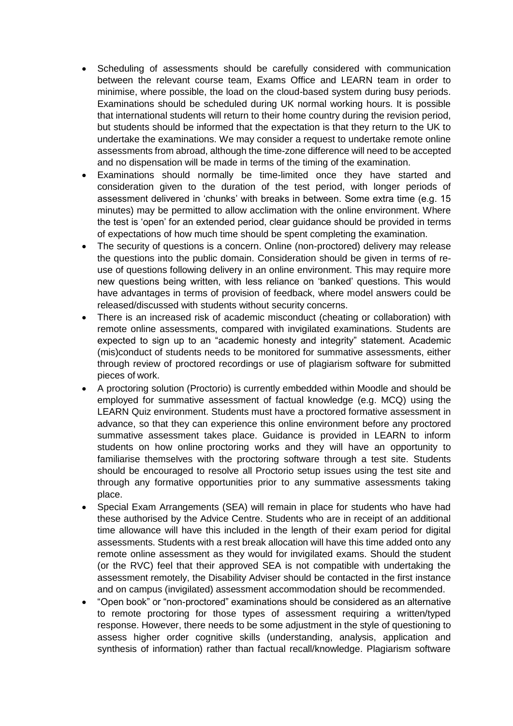- Scheduling of assessments should be carefully considered with communication between the relevant course team, Exams Office and LEARN team in order to minimise, where possible, the load on the cloud-based system during busy periods. Examinations should be scheduled during UK normal working hours. It is possible that international students will return to their home country during the revision period, but students should be informed that the expectation is that they return to the UK to undertake the examinations. We may consider a request to undertake remote online assessments from abroad, although the time-zone difference will need to be accepted and no dispensation will be made in terms of the timing of the examination.
- Examinations should normally be time-limited once they have started and consideration given to the duration of the test period, with longer periods of assessment delivered in 'chunks' with breaks in between. Some extra time (e.g. 15 minutes) may be permitted to allow acclimation with the online environment. Where the test is 'open' for an extended period, clear guidance should be provided in terms of expectations of how much time should be spent completing the examination.
- The security of questions is a concern. Online (non-proctored) delivery may release the questions into the public domain. Consideration should be given in terms of reuse of questions following delivery in an online environment. This may require more new questions being written, with less reliance on 'banked' questions. This would have advantages in terms of provision of feedback, where model answers could be released/discussed with students without security concerns.
- There is an increased risk of academic misconduct (cheating or collaboration) with remote online assessments, compared with invigilated examinations. Students are expected to sign up to an "academic honesty and integrity" statement. Academic (mis)conduct of students needs to be monitored for summative assessments, either through review of proctored recordings or use of plagiarism software for submitted pieces of work.
- A proctoring solution (Proctorio) is currently embedded within Moodle and should be employed for summative assessment of factual knowledge (e.g. MCQ) using the LEARN Quiz environment. Students must have a proctored formative assessment in advance, so that they can experience this online environment before any proctored summative assessment takes place. Guidance is provided in LEARN to inform students on how online proctoring works and they will have an opportunity to familiarise themselves with the proctoring software through a test site. Students should be encouraged to resolve all Proctorio setup issues using the test site and through any formative opportunities prior to any summative assessments taking place.
- Special Exam Arrangements (SEA) will remain in place for students who have had these authorised by the Advice Centre. Students who are in receipt of an additional time allowance will have this included in the length of their exam period for digital assessments. Students with a rest break allocation will have this time added onto any remote online assessment as they would for invigilated exams. Should the student (or the RVC) feel that their approved SEA is not compatible with undertaking the assessment remotely, the Disability Adviser should be contacted in the first instance and on campus (invigilated) assessment accommodation should be recommended.
- "Open book" or "non-proctored" examinations should be considered as an alternative to remote proctoring for those types of assessment requiring a written/typed response. However, there needs to be some adjustment in the style of questioning to assess higher order cognitive skills (understanding, analysis, application and synthesis of information) rather than factual recall/knowledge. Plagiarism software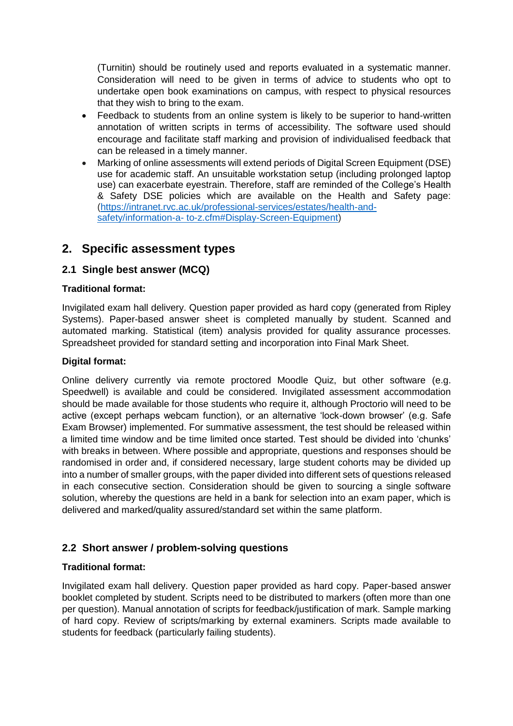(Turnitin) should be routinely used and reports evaluated in a systematic manner. Consideration will need to be given in terms of advice to students who opt to undertake open book examinations on campus, with respect to physical resources that they wish to bring to the exam.

- Feedback to students from an online system is likely to be superior to hand-written annotation of written scripts in terms of accessibility. The software used should encourage and facilitate staff marking and provision of individualised feedback that can be released in a timely manner.
- Marking of online assessments will extend periods of Digital Screen Equipment (DSE) use for academic staff. An unsuitable workstation setup (including prolonged laptop use) can exacerbate eyestrain. Therefore, staff are reminded of the College's Health & Safety DSE policies which are available on the Health and Safety page: [\(https://intranet.rvc.ac.uk/professional-services/estates/health-and](https://intranet.rvc.ac.uk/professional-services/estates/health-and-safety/information-a-to-z.cfm#Display-Screen-Equipment)[safety/information-a-](https://intranet.rvc.ac.uk/professional-services/estates/health-and-safety/information-a-to-z.cfm#Display-Screen-Equipment) [to-z.cfm#Display-Screen-Equipment\)](https://intranet.rvc.ac.uk/professional-services/estates/health-and-safety/information-a-to-z.cfm#Display-Screen-Equipment)

## **2. Specific assessment types**

#### **2.1 Single best answer (MCQ)**

#### **Traditional format:**

Invigilated exam hall delivery. Question paper provided as hard copy (generated from Ripley Systems). Paper-based answer sheet is completed manually by student. Scanned and automated marking. Statistical (item) analysis provided for quality assurance processes. Spreadsheet provided for standard setting and incorporation into Final Mark Sheet.

#### **Digital format:**

Online delivery currently via remote proctored Moodle Quiz, but other software (e.g. Speedwell) is available and could be considered. Invigilated assessment accommodation should be made available for those students who require it, although Proctorio will need to be active (except perhaps webcam function), or an alternative 'lock-down browser' (e.g. Safe Exam Browser) implemented. For summative assessment, the test should be released within a limited time window and be time limited once started. Test should be divided into 'chunks' with breaks in between. Where possible and appropriate, questions and responses should be randomised in order and, if considered necessary, large student cohorts may be divided up into a number of smaller groups, with the paper divided into different sets of questions released in each consecutive section. Consideration should be given to sourcing a single software solution, whereby the questions are held in a bank for selection into an exam paper, which is delivered and marked/quality assured/standard set within the same platform.

#### **2.2 Short answer / problem-solving questions**

#### **Traditional format:**

Invigilated exam hall delivery. Question paper provided as hard copy. Paper-based answer booklet completed by student. Scripts need to be distributed to markers (often more than one per question). Manual annotation of scripts for feedback/justification of mark. Sample marking of hard copy. Review of scripts/marking by external examiners. Scripts made available to students for feedback (particularly failing students).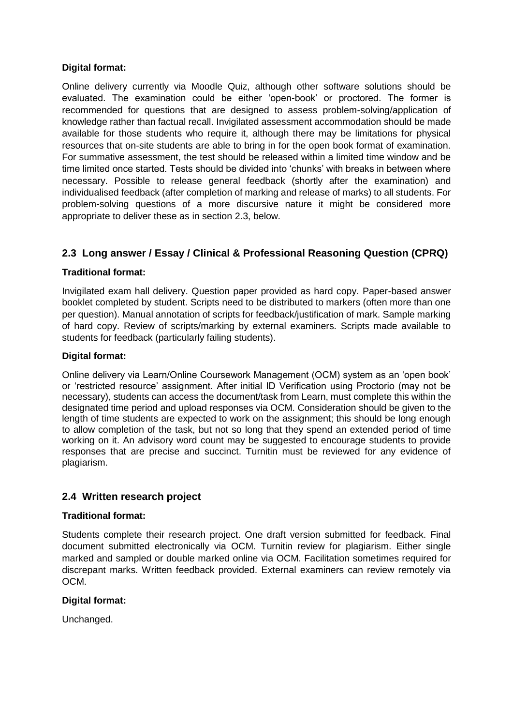#### **Digital format:**

Online delivery currently via Moodle Quiz, although other software solutions should be evaluated. The examination could be either 'open-book' or proctored. The former is recommended for questions that are designed to assess problem-solving/application of knowledge rather than factual recall. Invigilated assessment accommodation should be made available for those students who require it, although there may be limitations for physical resources that on-site students are able to bring in for the open book format of examination. For summative assessment, the test should be released within a limited time window and be time limited once started. Tests should be divided into 'chunks' with breaks in between where necessary. Possible to release general feedback (shortly after the examination) and individualised feedback (after completion of marking and release of marks) to all students. For problem-solving questions of a more discursive nature it might be considered more appropriate to deliver these as in section 2.3, below.

### **2.3 Long answer / Essay / Clinical & Professional Reasoning Question (CPRQ)**

#### **Traditional format:**

Invigilated exam hall delivery. Question paper provided as hard copy. Paper-based answer booklet completed by student. Scripts need to be distributed to markers (often more than one per question). Manual annotation of scripts for feedback/justification of mark. Sample marking of hard copy. Review of scripts/marking by external examiners. Scripts made available to students for feedback (particularly failing students).

#### **Digital format:**

Online delivery via Learn/Online Coursework Management (OCM) system as an 'open book' or 'restricted resource' assignment. After initial ID Verification using Proctorio (may not be necessary), students can access the document/task from Learn, must complete this within the designated time period and upload responses via OCM. Consideration should be given to the length of time students are expected to work on the assignment; this should be long enough to allow completion of the task, but not so long that they spend an extended period of time working on it. An advisory word count may be suggested to encourage students to provide responses that are precise and succinct. Turnitin must be reviewed for any evidence of plagiarism.

#### **2.4 Written research project**

#### **Traditional format:**

Students complete their research project. One draft version submitted for feedback. Final document submitted electronically via OCM. Turnitin review for plagiarism. Either single marked and sampled or double marked online via OCM. Facilitation sometimes required for discrepant marks. Written feedback provided. External examiners can review remotely via OCM.

#### **Digital format:**

Unchanged.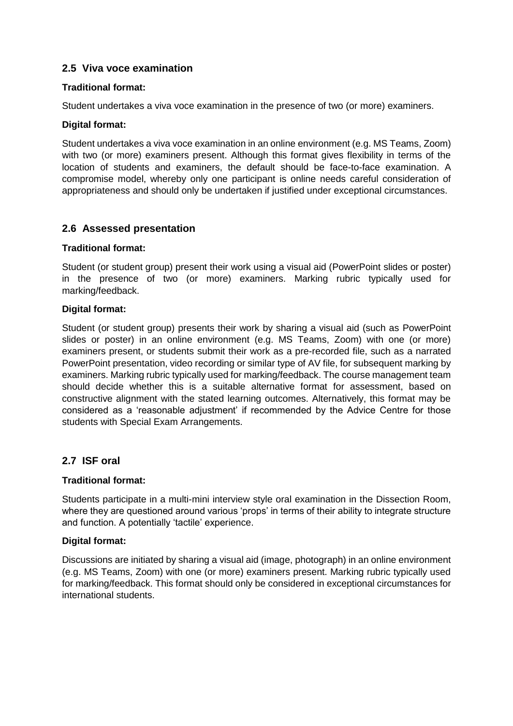#### **2.5 Viva voce examination**

#### **Traditional format:**

Student undertakes a viva voce examination in the presence of two (or more) examiners.

#### **Digital format:**

Student undertakes a viva voce examination in an online environment (e.g. MS Teams, Zoom) with two (or more) examiners present. Although this format gives flexibility in terms of the location of students and examiners, the default should be face-to-face examination. A compromise model, whereby only one participant is online needs careful consideration of appropriateness and should only be undertaken if justified under exceptional circumstances.

#### **2.6 Assessed presentation**

#### **Traditional format:**

Student (or student group) present their work using a visual aid (PowerPoint slides or poster) in the presence of two (or more) examiners. Marking rubric typically used for marking/feedback.

#### **Digital format:**

Student (or student group) presents their work by sharing a visual aid (such as PowerPoint slides or poster) in an online environment (e.g. MS Teams, Zoom) with one (or more) examiners present, or students submit their work as a pre-recorded file, such as a narrated PowerPoint presentation, video recording or similar type of AV file, for subsequent marking by examiners. Marking rubric typically used for marking/feedback. The course management team should decide whether this is a suitable alternative format for assessment, based on constructive alignment with the stated learning outcomes. Alternatively, this format may be considered as a 'reasonable adjustment' if recommended by the Advice Centre for those students with Special Exam Arrangements.

#### **2.7 ISF oral**

#### **Traditional format:**

Students participate in a multi-mini interview style oral examination in the Dissection Room, where they are questioned around various 'props' in terms of their ability to integrate structure and function. A potentially 'tactile' experience.

#### **Digital format:**

Discussions are initiated by sharing a visual aid (image, photograph) in an online environment (e.g. MS Teams, Zoom) with one (or more) examiners present. Marking rubric typically used for marking/feedback. This format should only be considered in exceptional circumstances for international students.